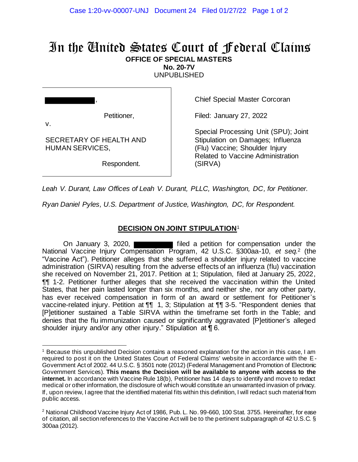# In the United States Court of Federal Claims **OFFICE OF SPECIAL MASTERS**

**No. 20-7V**

UNPUBLISHED

| J  |             |
|----|-------------|
| ν. | Petitioner, |

SECRETARY OF HEALTH AND

HUMAN SERVICES,

Chief Special Master Corcoran

Filed: January 27, 2022

Special Processing Unit (SPU); Joint Stipulation on Damages; Influenza (Flu) Vaccine; Shoulder Injury Related to Vaccine Administration (SIRVA)

Respondent.

*Leah V. Durant, Law Offices of Leah V. Durant, PLLC, Washington, DC, for Petitioner.*

*Ryan Daniel Pyles, U.S. Department of Justice, Washington, DC, for Respondent.*

## **DECISION ON JOINT STIPULATION**<sup>1</sup>

On January 3, 2020, **Filled** a petition for compensation under the National Vaccine Injury Compensation Program, 42 U.S.C. §300aa-10, *et seq.* <sup>2</sup> (the "Vaccine Act"). Petitioner alleges that she suffered a shoulder injury related to vaccine administration (SIRVA) resulting from the adverse effects of an influenza (flu) vaccination she received on November 21, 2017. Petition at 1; Stipulation, filed at January 25, 2022, ¶¶ 1-2. Petitioner further alleges that she received the vaccination within the United States, that her pain lasted longer than six months, and neither she, nor any other party, has ever received compensation in form of an award or settlement for Petitioner's vaccine-related injury. Petition at ¶¶ 1, 3; Stipulation at ¶¶ 3-5. "Respondent denies that [P]etitioner sustained a Table SIRVA within the timeframe set forth in the Table; and denies that the flu immunization caused or significantly aggravated [P]etitioner's alleged shoulder injury and/or any other injury." Stipulation at **[6.**]

<sup>1</sup> Because this unpublished Decision contains a reasoned explanation for the action in this case, I am required to post it on the United States Court of Federal Claims' website in accordance with the E-Government Act of 2002. 44 U.S.C. § 3501 note (2012) (Federal Management and Promotion of Electronic Government Services). **This means the Decision will be available to anyone with access to the**  internet. In accordance with Vaccine Rule 18(b), Petitioner has 14 days to identify and move to redact medical or other information, the disclosure of which would constitute an unwarranted invasion of privacy. If, upon review, I agree that the identified material fits within this definition, I will redact such material from public access.

<sup>&</sup>lt;sup>2</sup> National Childhood Vaccine Injury Act of 1986, Pub. L. No. 99-660, 100 Stat. 3755. Hereinafter, for ease of citation, all section references to the Vaccine Act will be to the pertinent subparagraph of 42 U.S.C. § 300aa (2012).